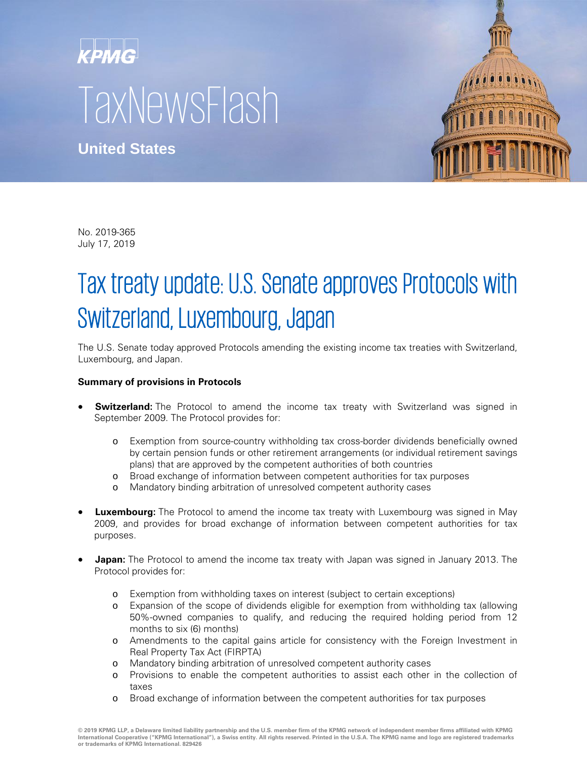## **KPMG TaxNewsFlash**

**United States**



No. 2019-365 July 17, 2019

## Tax treaty update: U.S. Senate approves Protocols with Switzerland, Luxembourg, Japan

The U.S. Senate today approved Protocols amending the existing income tax treaties with Switzerland, Luxembourg, and Japan.

## **Summary of provisions in Protocols**

- **Switzerland:** The Protocol to amend the income tax treaty with Switzerland was signed in September 2009. The Protocol provides for:
	- o Exemption from source-country withholding tax cross-border dividends beneficially owned by certain pension funds or other retirement arrangements (or individual retirement savings plans) that are approved by the competent authorities of both countries
	- o Broad exchange of information between competent authorities for tax purposes
	- o Mandatory binding arbitration of unresolved competent authority cases
- **Luxembourg:** The Protocol to amend the income tax treaty with Luxembourg was signed in May 2009, and provides for broad exchange of information between competent authorities for tax purposes.
- **Japan:** The Protocol to amend the income tax treaty with Japan was signed in January 2013. The Protocol provides for:
	- o Exemption from withholding taxes on interest (subject to certain exceptions)
	- o Expansion of the scope of dividends eligible for exemption from withholding tax (allowing 50%-owned companies to qualify, and reducing the required holding period from 12 months to six (6) months)
	- o Amendments to the capital gains article for consistency with the Foreign Investment in Real Property Tax Act (FIRPTA)
	- o Mandatory binding arbitration of unresolved competent authority cases
	- o Provisions to enable the competent authorities to assist each other in the collection of taxes
	- o Broad exchange of information between the competent authorities for tax purposes